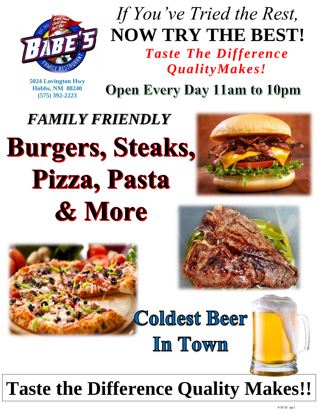

## *If You've Tried the Rest,* **NOW TRY THE BEST!** *Taste The Difference QualityMakes!*

**5024 Lovington Hwy Hobbs, NM 88240 (575) 392-2223**

**Open Every Day 11am to 10pm** 

# *FAMILY FRIENDLY* **Burgers, Steaks,** Pizza, Pasta & More







**Coldest Beer** In Town

# **Taste the Difference Quality Makes!!**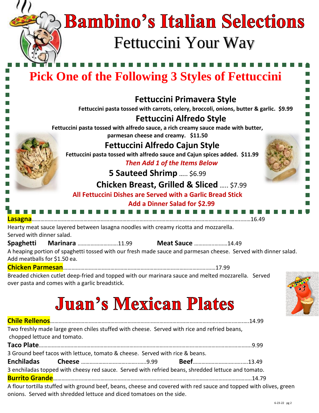# **Bambino's Italian Selections** Fettuccini Your Way

## **Pick One of the Following 3 Styles of Fettuccini**

**Fettuccini Primavera Style**

**Fettuccini pasta tossed with carrots, celery, broccoli, onions, butter & garlic. \$9.99**

## **Fettuccini Alfredo Style**

**Fettuccini pasta tossed with alfredo sauce, a rich creamy sauce made with butter, parmesan cheese and creamy. \$11.50**

## **Fettuccini Alfredo Cajun Style**

**Fettuccini pasta tossed with alfredo sauce and Cajun spices added. \$11.99**

*Then Add 1 of the Items Below*

**5 Sauteed Shrimp** ….. \$6.99

## **Chicken Breast, Grilled & Sliced** ….. \$7.99

## **All Fettuccini Dishes are Served with a Garlic Bread Stick**



Served with dinner salad.

**Spaghetti Marinara** ……………………….11.99 **Meat Sauce** …………..………14.49

A heaping portion of spaghetti tossed with our fresh made sauce and parmesan cheese. Served with dinner salad. Add meatballs for \$1.50 ea.

## **Chicken Parmesan**……………………………………………………………………………………….……17.99

Breaded chicken cutlet deep-fried and topped with our marinara sauce and melted mozzarella. Served over pasta and comes with a garlic breadstick.

## **Juan's Mexican Plates**

| chopped lettuce and tomato. | Two freshly made large green chiles stuffed with cheese. Served with rice and refried beans,       |  |                                                                                                                   |
|-----------------------------|----------------------------------------------------------------------------------------------------|--|-------------------------------------------------------------------------------------------------------------------|
|                             |                                                                                                    |  |                                                                                                                   |
|                             | 3 Ground beef tacos with lettuce, tomato & cheese. Served with rice & beans.                       |  |                                                                                                                   |
|                             |                                                                                                    |  |                                                                                                                   |
|                             | 3 enchiladas topped with cheesy red sauce. Served with refried beans, shredded lettuce and tomato. |  |                                                                                                                   |
|                             |                                                                                                    |  |                                                                                                                   |
|                             | onions. Served with shredded lettuce and diced tomatoes on the side.                               |  | A flour tortilla stuffed with ground beef, beans, cheese and covered with red sauce and topped with olives, green |

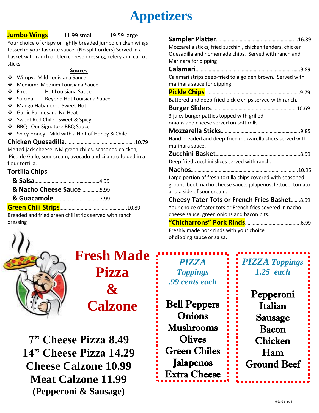## **Appetizers**

### **Jumbo Wings** 11.99 small 19.59 large

Your choice of crispy or lightly breaded jumbo chicken wings tossed in your favorite sauce. (No split orders) Served in a basket with ranch or bleu cheese dressing, celery and carrot sticks.

### **Sauces**

- ❖ Wimpy: Mild Louisiana Sauce
- ❖ Medium: Medium Louisiana Sauce
- ❖ Fire: Hot Louisiana Sauce
- ❖ Suicidal Beyond Hot Louisiana Sauce
- ❖ Mango Habanero: Sweet-Hot
- ❖ Garlic Parmesan: No Heat
- ❖ Sweet Red Chile: Sweet & Spicy
- ❖ BBQ: Our Signature BBQ Sauce
- ❖ Spicy Honey: Mild with a Hint of Honey & Chile

### **Chicken Quesadilla**………….………………………….………10.79

Melted jack cheese, NM green chiles, seasoned chicken, Pico de Gallo, sour cream, avocado and cilantro folded in a flour tortilla.

## **Tortilla Chips**

| & Nacho Cheese Sauce 5.99 |  |
|---------------------------|--|
|                           |  |
|                           |  |

Breaded and fried green chili strips served with ranch dressing



## **Fresh Made Pizza & Calzone**

**7" Cheese Pizza 8.49 14" Cheese Pizza 14.29 Cheese Calzone 10.99 Meat Calzone 11.99 (Pepperoni & Sausage)** 

| Mozzarella sticks, fried zucchini, chicken tenders, chicken                                                      |
|------------------------------------------------------------------------------------------------------------------|
| Quesadilla and homemade chips. Served with ranch and                                                             |
| Marinara for dipping                                                                                             |
|                                                                                                                  |
| Calamari strips deep-fried to a golden brown. Served with<br>marinara sauce for dipping.                         |
|                                                                                                                  |
|                                                                                                                  |
| Battered and deep-fried pickle chips served with ranch.                                                          |
|                                                                                                                  |
| 3 juicy burger patties topped with grilled                                                                       |
| onions and cheese served on soft rolls.                                                                          |
|                                                                                                                  |
| Hand breaded and deep-fried mozzarella sticks served with                                                        |
| marinara sauce.                                                                                                  |
|                                                                                                                  |
| Deep fried zucchini slices served with ranch.                                                                    |
|                                                                                                                  |
| Large portion of fresh tortilla chips covered with seasoned                                                      |
| ground beef, nacho cheese sauce, jalapenos, lettuce, tomato                                                      |
| and a side of sour cream.                                                                                        |
| <b>Cheesy Tater Tots or French Fries Basket8.99</b>                                                              |
| Your choice of tater tots or French fries covered in nacho                                                       |
| cheese sauce, green onions and bacon bits.                                                                       |
|                                                                                                                  |
| ₩ senator in the senator of the senator of the first senator of the senator of the senator of the senator of the |

Freshly made pork rinds with your choice of dipping sauce or salsa.

*PIZZA Toppings .99 cents each* Bell Peppers

**Onions** Mushrooms **Olives** Green Chiles Jalapenos Extra Cheese

Ī

## *PIZZA Toppings 1.25 each*

Pepperoni Italian Sausage Bacon Chicken Ham Ground Beef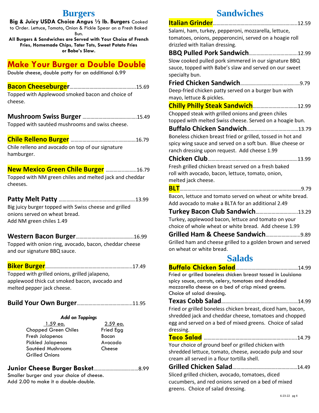## **Burgers**

**Big & Juicy USDA Choice Angus ½ lb. Burgers** Cooked to Order. Lettuce, Tomato, Onion & Pickle Spear on a Fresh Baked Bun.

**All Burgers & Sandwiches are Served with Your Choice of French Fries, Homemade Chips, Tater Tots, Sweet Potato Fries or Babe's Slaw.**

## **Make Your Burger a Double Double**

Double cheese, double patty for an additional 6.99

## **Bacon Cheeseburger**……………………………….…….…...15.69

Topped with Applewood smoked bacon and choice of cheese.

**Mushroom Swiss Burger** ……………………………….….15.49

Topped with sautéed mushrooms and swiss cheese.

## **Chile Relleno Burger** …………………….………...…………16.79

Chile relleno and avocado on top of our signature hamburger.

### **New Mexico Green Chile Burger** …………...……..16.79

Topped with NM green chiles and melted jack and cheddar cheeses.

## **Patty Melt Patty** ………………………………………………….13.99

Big juicy burger topped with Swiss cheese and grilled onions served on wheat bread. Add NM green chiles 1.49

### **Western Bacon Burger**……………………………………..16.99

Topped with onion ring, avocado, bacon, cheddar cheese and our signature BBQ sauce.

**Biker Burger**………………………………………………………...17.49

Topped with grilled onions, grilled jalapeno, applewood thick cut smoked bacon, avocado and melted pepper jack cheese.

**Build Your Own Burger**…………………………………...11.95

## *Add on Toppings*

| 1.59 ea.                    | 2.59 ea.  |
|-----------------------------|-----------|
| <b>Chopped Green Chiles</b> | Fried Egg |
| Fresh Jalapenos             | Bacon     |
| <b>Pickled Jalapenos</b>    | Avocado   |
| Sautéed Mushrooms           | Cheese    |
| <b>Grilled Onions</b>       |           |

## **Junior Cheese Burger Basket**……………………….……8.99

Smaller burger and your choice of cheese. Add 2.00 to make it a double-double.

## **Sandwiches**

| Salami, ham, turkey, pepperoni, mozzarella, lettuce,                                                      |
|-----------------------------------------------------------------------------------------------------------|
| tomatoes, onions, pepperoncini, served on a hoagie roll                                                   |
| drizzled with Italian dressing.                                                                           |
| <b>BBQ Pulled Pork Sandwich12.99</b>                                                                      |
| Slow cooked pulled pork simmered in our signature BBQ                                                     |
| sauce, topped with Babe's slaw and served on our sweet                                                    |
| specialty bun.                                                                                            |
|                                                                                                           |
| Deep-fried chicken patty served on a burger bun with                                                      |
| mayo, lettuce & pickles.                                                                                  |
| Chilly Philly Steak Sandwich 12.99                                                                        |
| Chopped steak with grilled onions and green chiles                                                        |
| topped with melted Swiss cheese. Served on a hoagie bun.                                                  |
|                                                                                                           |
| Boneless chicken breast fried or grilled, tossed in hot and                                               |
| spicy wing sauce and served on a soft bun. Blue cheese or                                                 |
| ranch dressing upon request. Add cheese 1.99                                                              |
|                                                                                                           |
| Fresh grilled chicken breast served on a fresh baked<br>roll with avocado, bacon, lettuce, tomato, onion, |
| melted jack cheese.                                                                                       |
|                                                                                                           |
| Bacon, lettuce and tomato served on wheat or white bread.                                                 |
| Add avocado to make a BLTA for an additional 2.49                                                         |
| <b>Turkey Bacon Club Sandwich13.29</b>                                                                    |
| Turkey, applewood bacon, lettuce and tomato on your                                                       |
| choice of whole wheat or white bread. Add cheese 1.99                                                     |
| Grilled Ham & Cheese Sandwich9.89                                                                         |
| Grilled ham and cheese grilled to a golden brown and served                                               |
| on wheat or white bread.                                                                                  |
| <b>Salads</b>                                                                                             |
|                                                                                                           |
| Fried or grilled boneless chicken breast tossed in Louisiana                                              |

spicy sauce, carrots, celery, tomatoes and shredded mozzarella cheese on a bed of crisp mixed greens. Choice of salad dressing.

**Texas Cobb Salad**…………………………….……………………14.99 Fried or grilled boneless chicken breast, diced ham, bacon, shredded jack and cheddar cheese, tomatoes and chopped egg and served on a bed of mixed greens. Choice of salad dressing.

**Taco Salad** …………………………………………….……...…......14.79 Your choice of ground beef or grilled chicken with shredded lettuce, tomato, cheese, avocado pulp and sour cream all served in a flour tortilla shell.

**Grilled Chicken Salad**…………………………….……………14.49 Sliced grilled chicken, avocado, tomatoes, diced cucumbers, and red onions served on a bed of mixed greens. Choice of salad dressing.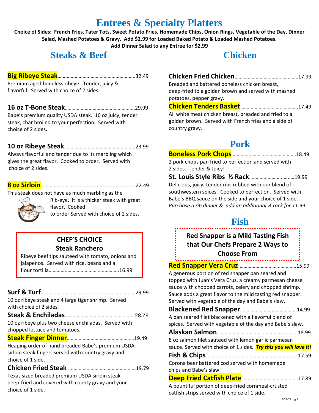## **Entrees & Specialty Platters**

**Choice of Sides: French Fries, Tater Tots, Sweet Potato Fries, Homemade Chips, Onion Rings, Vegetable of the Day, Dinner Salad, Mashed Potatoes & Gravy. Add \$2.99 for Loaded Baked Potato & Loaded Mashed Potatoes. Add Dinner Salad to any Entrée for \$2.99**

## **Steaks & Beef**

### **Big Ribeye Steak**…………………………………………………..32.49

Premium aged boneless ribeye. Tender, juicy & flavorful. Served with choice of 2 sides.

### **16 oz T-Bone Steak**……………………………………………..29.99

Babe's premium quality USDA steak. 16 oz juicy, tender steak, char broiled to your perfection. Served with choice of 2 sides*.*

**10 oz Ribeye Steak**……………………………………………...23.99

Always flavorful and tender due to its marbling which gives the great flavor. Cooked to order. Served with choice of 2 sides.

## **8 oz Sirloin**……….……………...........................................22.49

This steak does not have as much marbling as the

Rib-eye. It is a thicker steak with great flavor. Cooked to order Served with choice of 2 sides.



## **CHEF'S CHOICE Steak Ranchero**

Ribeye beef tips sauteed with tomato, onions and jalapenos. Served with rice, beans and a flour tortilla…………..……………………….………..16.99

| .29.99                                                                                                                        |
|-------------------------------------------------------------------------------------------------------------------------------|
| 10 oz ribeye steak and 4 large tiger shrimp. Served                                                                           |
| with choice of 2 sides.                                                                                                       |
|                                                                                                                               |
| 10 oz ribeye plus two cheese enchiladas. Served with                                                                          |
| chopped lettuce and tomatoes.                                                                                                 |
|                                                                                                                               |
| Heaping order of hand breaded Babe's premium USDA<br>sirloin steak fingers served with country gravy and<br>choice of 1 side. |
|                                                                                                                               |
| Texas sized breaded premium USDA sirloin steak                                                                                |
| deep-fried and covered with county gravy and your                                                                             |
| choice of 1 side.                                                                                                             |

## **Chicken**

| Breaded and battered boneless chicken breast. |  |
|-----------------------------------------------|--|

deep-fried to a golden brown and served with mashed potatoes, pepper gravy.

## **Chicken Tenders Basket** …………………………………….17.49

All white meat chicken breast, breaded and fried to a golden brown. Served with French fries and a side of country gravy.

## **Pork**

**Boneless Pork Chops**………………………………………….18.49 2 pork chops pan fried to perfection and served with 2 sides. Tender & Juicy!

**St. Louis Style Ribs ½ Rack**……………………..…..…19.99 Delicious, juicy, tender ribs rubbed with our blend of southwestern spices. Cooked to perfection. Served with Babe's BBQ sauce on the side and your choice of 1 side. *Purchase a rib dinner & add an additional ½ rack for 11.99.*

## **Fish**

## **Red Snapper is a Mild Tasting Fish that Our Chefs Prepare 2 Ways to Choose From**

**Red Snapper Vera Cruz** …………………………………….15.99

A generous portion of red snapper pan seared and topped with Juan's Vera Cruz, a creamy parmesan cheese sauce with chopped carrots, celery and chopped shrimp. Sauce adds a great flavor to the mild tasting red snapper. Served with vegetable of the day and Babe's slaw.

**Blackened Red Snapper**…………………………………….14.99 A pan seared filet blackened with a flavorful blend of spices. Served with vegetable of the day and Babe's slaw.

**Alaskan Salmon**………………………………….…………...……18.99

8 oz salmon filet sauteed with lemon garlic parmesan sauce. Served with choice of 1 sides. *Try this you will love it!*

Corona beer battered cod served with homemade chips and Babe's slaw.

**Deep Fried Catfish Plate** ……………………………..……17.89 A bountiful portion of deep-fried cornmeal-crusted

catfish strips served with choice of 1 side.